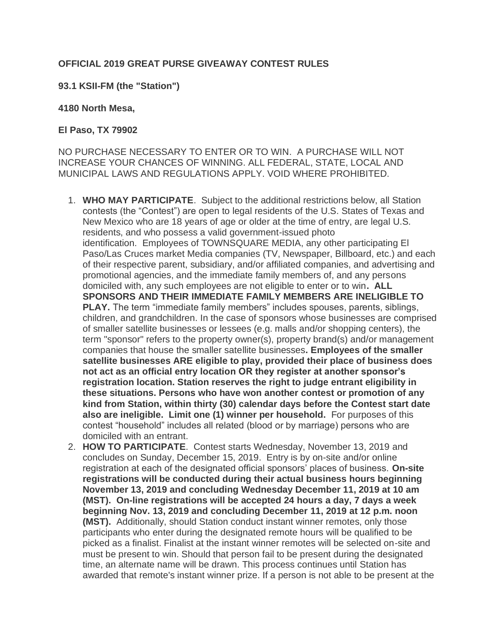## **OFFICIAL 2019 GREAT PURSE GIVEAWAY CONTEST RULES**

## **93.1 KSII-FM (the "Station")**

## **4180 North Mesa,**

## **El Paso, TX 79902**

NO PURCHASE NECESSARY TO ENTER OR TO WIN. A PURCHASE WILL NOT INCREASE YOUR CHANCES OF WINNING. ALL FEDERAL, STATE, LOCAL AND MUNICIPAL LAWS AND REGULATIONS APPLY. VOID WHERE PROHIBITED.

- 1. **WHO MAY PARTICIPATE**. Subject to the additional restrictions below, all Station contests (the "Contest") are open to legal residents of the U.S. States of Texas and New Mexico who are 18 years of age or older at the time of entry, are legal U.S. residents, and who possess a valid government-issued photo identification. Employees of TOWNSQUARE MEDIA, any other participating El Paso/Las Cruces market Media companies (TV, Newspaper, Billboard, etc.) and each of their respective parent, subsidiary, and/or affiliated companies, and advertising and promotional agencies, and the immediate family members of, and any persons domiciled with, any such employees are not eligible to enter or to win**. ALL SPONSORS AND THEIR IMMEDIATE FAMILY MEMBERS ARE INELIGIBLE TO PLAY.** The term "immediate family members" includes spouses, parents, siblings, children, and grandchildren. In the case of sponsors whose businesses are comprised of smaller satellite businesses or lessees (e.g. malls and/or shopping centers), the term "sponsor" refers to the property owner(s), property brand(s) and/or management companies that house the smaller satellite businesses**. Employees of the smaller satellite businesses ARE eligible to play, provided their place of business does not act as an official entry location OR they register at another sponsor's registration location. Station reserves the right to judge entrant eligibility in these situations. Persons who have won another contest or promotion of any kind from Station, within thirty (30) calendar days before the Contest start date also are ineligible. Limit one (1) winner per household.** For purposes of this contest "household" includes all related (blood or by marriage) persons who are domiciled with an entrant.
- 2. **HOW TO PARTICIPATE**. Contest starts Wednesday, November 13, 2019 and concludes on Sunday, December 15, 2019. Entry is by on-site and/or online registration at each of the designated official sponsors' places of business. **On-site registrations will be conducted during their actual business hours beginning November 13, 2019 and concluding Wednesday December 11, 2019 at 10 am (MST). On-line registrations will be accepted 24 hours a day, 7 days a week beginning Nov. 13, 2019 and concluding December 11, 2019 at 12 p.m. noon (MST).** Additionally, should Station conduct instant winner remotes, only those participants who enter during the designated remote hours will be qualified to be picked as a finalist. Finalist at the instant winner remotes will be selected on-site and must be present to win. Should that person fail to be present during the designated time, an alternate name will be drawn. This process continues until Station has awarded that remote's instant winner prize. If a person is not able to be present at the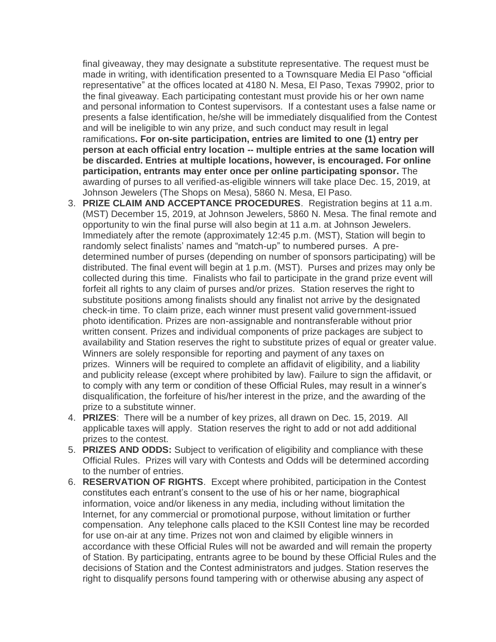final giveaway, they may designate a substitute representative. The request must be made in writing, with identification presented to a Townsquare Media El Paso "official representative" at the offices located at 4180 N. Mesa, El Paso, Texas 79902, prior to the final giveaway. Each participating contestant must provide his or her own name and personal information to Contest supervisors. If a contestant uses a false name or presents a false identification, he/she will be immediately disqualified from the Contest and will be ineligible to win any prize, and such conduct may result in legal ramifications**. For on-site participation, entries are limited to one (1) entry per person at each official entry location -- multiple entries at the same location will be discarded. Entries at multiple locations, however, is encouraged. For online participation, entrants may enter once per online participating sponsor.** The awarding of purses to all verified-as-eligible winners will take place Dec. 15, 2019, at Johnson Jewelers (The Shops on Mesa), 5860 N. Mesa, El Paso.

- 3. **PRIZE CLAIM AND ACCEPTANCE PROCEDURES**. Registration begins at 11 a.m. (MST) December 15, 2019, at Johnson Jewelers, 5860 N. Mesa. The final remote and opportunity to win the final purse will also begin at 11 a.m. at Johnson Jewelers. Immediately after the remote (approximately 12:45 p.m. (MST), Station will begin to randomly select finalists' names and "match-up" to numbered purses. A predetermined number of purses (depending on number of sponsors participating) will be distributed. The final event will begin at 1 p.m. (MST). Purses and prizes may only be collected during this time. Finalists who fail to participate in the grand prize event will forfeit all rights to any claim of purses and/or prizes. Station reserves the right to substitute positions among finalists should any finalist not arrive by the designated check-in time. To claim prize, each winner must present valid government-issued photo identification. Prizes are non-assignable and nontransferable without prior written consent. Prizes and individual components of prize packages are subject to availability and Station reserves the right to substitute prizes of equal or greater value. Winners are solely responsible for reporting and payment of any taxes on prizes. Winners will be required to complete an affidavit of eligibility, and a liability and publicity release (except where prohibited by law). Failure to sign the affidavit, or to comply with any term or condition of these Official Rules, may result in a winner's disqualification, the forfeiture of his/her interest in the prize, and the awarding of the prize to a substitute winner.
- 4. **PRIZES**: There will be a number of key prizes, all drawn on Dec. 15, 2019. All applicable taxes will apply. Station reserves the right to add or not add additional prizes to the contest.
- 5. **PRIZES AND ODDS:** Subject to verification of eligibility and compliance with these Official Rules. Prizes will vary with Contests and Odds will be determined according to the number of entries.
- 6. **RESERVATION OF RIGHTS**. Except where prohibited, participation in the Contest constitutes each entrant's consent to the use of his or her name, biographical information, voice and/or likeness in any media, including without limitation the Internet, for any commercial or promotional purpose, without limitation or further compensation. Any telephone calls placed to the KSII Contest line may be recorded for use on-air at any time. Prizes not won and claimed by eligible winners in accordance with these Official Rules will not be awarded and will remain the property of Station. By participating, entrants agree to be bound by these Official Rules and the decisions of Station and the Contest administrators and judges. Station reserves the right to disqualify persons found tampering with or otherwise abusing any aspect of